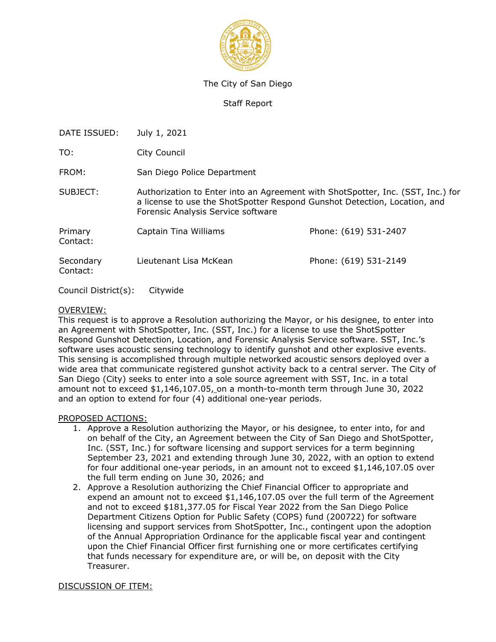

### The City of San Diego

### Staff Report

DATE ISSUED: July 1, 2021

TO: City Council

FROM: San Diego Police Department

SUBJECT: Authorization to Enter into an Agreement with ShotSpotter, Inc. (SST, Inc.) for a license to use the ShotSpotter Respond Gunshot Detection, Location, and Forensic Analysis Service software

Primary Captain Tina Williams Phone: (619) 531-2407

Contact:

Secondary Contact: Lieutenant Lisa McKean Phone: (619) 531-2149

Council District(s): Citywide

#### OVERVIEW:

This request is to approve a Resolution authorizing the Mayor, or his designee, to enter into an Agreement with ShotSpotter, Inc. (SST, Inc.) for a license to use the ShotSpotter Respond Gunshot Detection, Location, and Forensic Analysis Service software. SST, Inc.'s software uses acoustic sensing technology to identify gunshot and other explosive events. This sensing is accomplished through multiple networked acoustic sensors deployed over a wide area that communicate registered gunshot activity back to a central server. The City of San Diego (City) seeks to enter into a sole source agreement with SST, Inc. in a total amount not to exceed \$1,146,107.05, on a month-to-month term through June 30, 2022 and an option to extend for four (4) additional one-year periods.

# PROPOSED ACTIONS:

- 1. Approve a Resolution authorizing the Mayor, or his designee, to enter into, for and on behalf of the City, an Agreement between the City of San Diego and ShotSpotter, Inc. (SST, Inc.) for software licensing and support services for a term beginning September 23, 2021 and extending through June 30, 2022, with an option to extend for four additional one-year periods, in an amount not to exceed \$1,146,107.05 over the full term ending on June 30, 2026; and
- 2. Approve a Resolution authorizing the Chief Financial Officer to appropriate and expend an amount not to exceed \$1,146,107.05 over the full term of the Agreement and not to exceed \$181,377.05 for Fiscal Year 2022 from the San Diego Police Department Citizens Option for Public Safety (COPS) fund (200722) for software licensing and support services from ShotSpotter, Inc., contingent upon the adoption of the Annual Appropriation Ordinance for the applicable fiscal year and contingent upon the Chief Financial Officer first furnishing one or more certificates certifying that funds necessary for expenditure are, or will be, on deposit with the City Treasurer.

# DISCUSSION OF ITEM: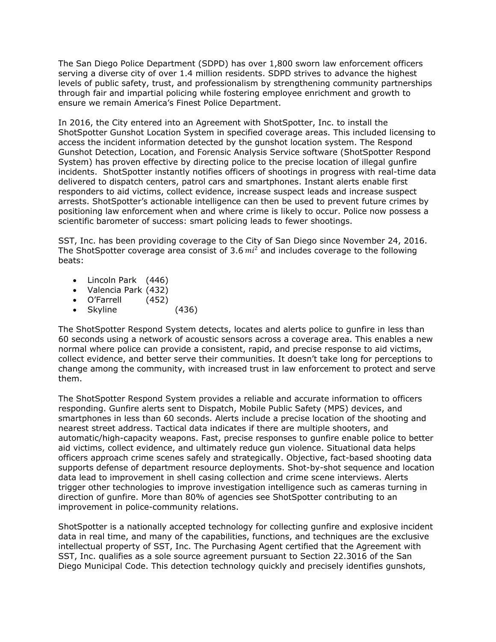The San Diego Police Department (SDPD) has over 1,800 sworn law enforcement officers serving a diverse city of over 1.4 million residents. SDPD strives to advance the highest levels of public safety, trust, and professionalism by strengthening community partnerships through fair and impartial policing while fostering employee enrichment and growth to ensure we remain America's Finest Police Department.

In 2016, the City entered into an Agreement with ShotSpotter, Inc. to install the ShotSpotter Gunshot Location System in specified coverage areas. This included licensing to access the incident information detected by the gunshot location system. The Respond Gunshot Detection, Location, and Forensic Analysis Service software (ShotSpotter Respond System) has proven effective by directing police to the precise location of illegal gunfire incidents. ShotSpotter instantly notifies officers of shootings in progress with real-time data delivered to dispatch centers, patrol cars and smartphones. Instant alerts enable first responders to aid victims, collect evidence, increase suspect leads and increase suspect arrests. ShotSpotter's actionable intelligence can then be used to prevent future crimes by positioning law enforcement when and where crime is likely to occur. Police now possess a scientific barometer of success: smart policing leads to fewer shootings.

SST, Inc. has been providing coverage to the City of San Diego since November 24, 2016. The ShotSpotter coverage area consist of 3.6  $mi^2$  and includes coverage to the following beats:

- Lincoln Park (446)
- Valencia Park (432)
- O'Farrell (452)
- Skyline (436)

The ShotSpotter Respond System detects, locates and alerts police to gunfire in less than 60 seconds using a network of acoustic sensors across a coverage area. This enables a new normal where police can provide a consistent, rapid, and precise response to aid victims, collect evidence, and better serve their communities. It doesn't take long for perceptions to change among the community, with increased trust in law enforcement to protect and serve them.

The ShotSpotter Respond System provides a reliable and accurate information to officers responding. Gunfire alerts sent to Dispatch, Mobile Public Safety (MPS) devices, and smartphones in less than 60 seconds. Alerts include a precise location of the shooting and nearest street address. Tactical data indicates if there are multiple shooters, and automatic/high-capacity weapons. Fast, precise responses to gunfire enable police to better aid victims, collect evidence, and ultimately reduce gun violence. Situational data helps officers approach crime scenes safely and strategically. Objective, fact-based shooting data supports defense of department resource deployments. Shot-by-shot sequence and location data lead to improvement in shell casing collection and crime scene interviews. Alerts trigger other technologies to improve investigation intelligence such as cameras turning in direction of gunfire. More than 80% of agencies see ShotSpotter contributing to an improvement in police-community relations.

ShotSpotter is a nationally accepted technology for collecting gunfire and explosive incident data in real time, and many of the capabilities, functions, and techniques are the exclusive intellectual property of SST, Inc. The Purchasing Agent certified that the Agreement with SST, Inc. qualifies as a sole source agreement pursuant to Section 22.3016 of the San Diego Municipal Code. This detection technology quickly and precisely identifies gunshots,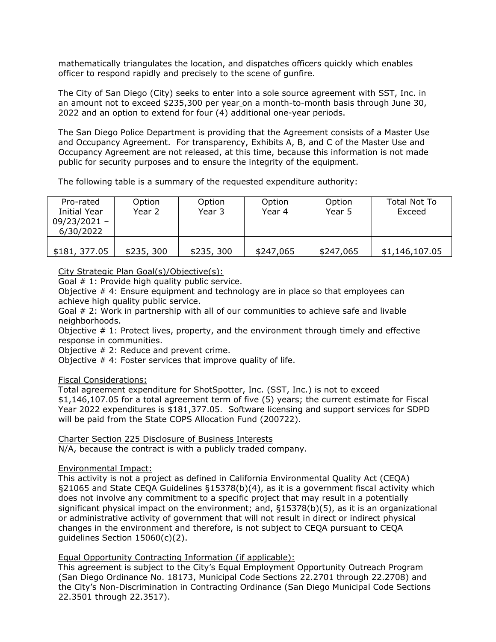mathematically triangulates the location, and dispatches officers quickly which enables officer to respond rapidly and precisely to the scene of gunfire.

The City of San Diego (City) seeks to enter into a sole source agreement with SST, Inc. in an amount not to exceed \$235,300 per year on a month-to-month basis through June 30, 2022 and an option to extend for four (4) additional one-year periods.

The San Diego Police Department is providing that the Agreement consists of a Master Use and Occupancy Agreement. For transparency, Exhibits A, B, and C of the Master Use and Occupancy Agreement are not released, at this time, because this information is not made public for security purposes and to ensure the integrity of the equipment.

The following table is a summary of the requested expenditure authority:

| Pro-rated<br>Initial Year<br>09/23/2021 -<br>6/30/2022 | Option<br>Year 2 | Option<br>Year 3 | Option<br>Year 4 | Option<br>Year 5 | Total Not To<br>Exceed |
|--------------------------------------------------------|------------------|------------------|------------------|------------------|------------------------|
| \$181, 377.05                                          | \$235,300        | \$235, 300       | \$247,065        | \$247,065        | \$1,146,107.05         |

City Strategic Plan Goal(s)/Objective(s):

Goal # 1: Provide high quality public service.

Objective # 4: Ensure equipment and technology are in place so that employees can achieve high quality public service.

Goal # 2: Work in partnership with all of our communities to achieve safe and livable neighborhoods.

Objective # 1: Protect lives, property, and the environment through timely and effective response in communities.

Objective # 2: Reduce and prevent crime.

Objective # 4: Foster services that improve quality of life.

Fiscal Considerations:

Total agreement expenditure for ShotSpotter, Inc. (SST, Inc.) is not to exceed \$1,146,107.05 for a total agreement term of five (5) years; the current estimate for Fiscal Year 2022 expenditures is \$181,377.05. Software licensing and support services for SDPD will be paid from the State COPS Allocation Fund (200722).

Charter Section 225 Disclosure of Business Interests

N/A, because the contract is with a publicly traded company.

# Environmental Impact:

This activity is not a project as defined in California Environmental Quality Act (CEQA) §21065 and State CEQA Guidelines §15378(b)(4), as it is a government fiscal activity which does not involve any commitment to a specific project that may result in a potentially significant physical impact on the environment; and, §15378(b)(5), as it is an organizational or administrative activity of government that will not result in direct or indirect physical changes in the environment and therefore, is not subject to CEQA pursuant to CEQA guidelines Section 15060(c)(2).

Equal Opportunity Contracting Information (if applicable):

This agreement is subject to the City's Equal Employment Opportunity Outreach Program (San Diego Ordinance No. 18173, Municipal Code Sections 22.2701 through 22.2708) and the City's Non-Discrimination in Contracting Ordinance (San Diego Municipal Code Sections 22.3501 through 22.3517).